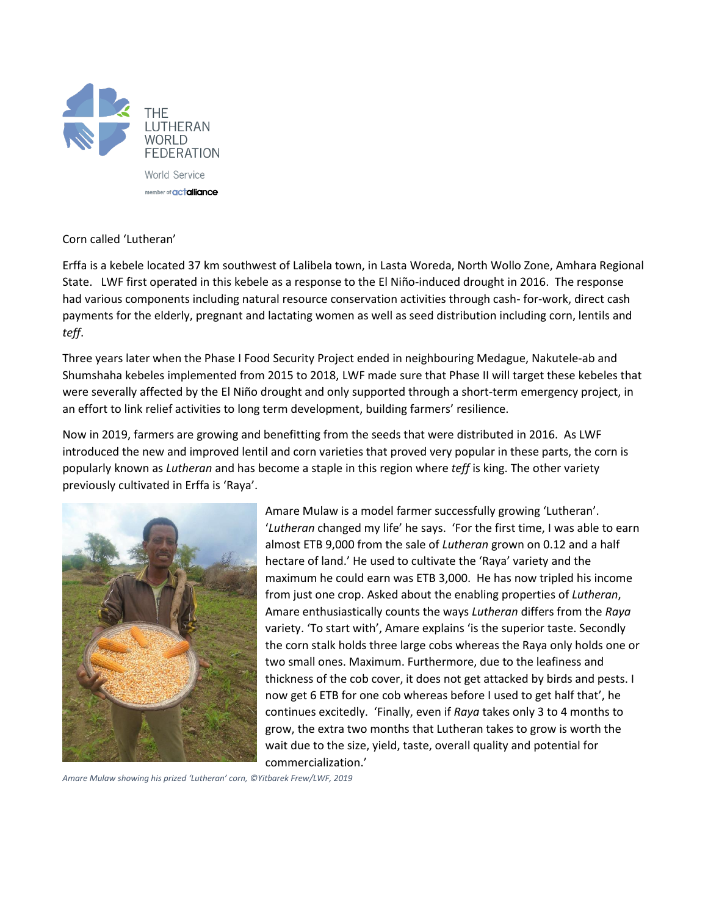

## Corn called 'Lutheran'

Erffa is a kebele located 37 km southwest of Lalibela town, in Lasta Woreda, North Wollo Zone, Amhara Regional State. LWF first operated in this kebele as a response to the El Niño-induced drought in 2016. The response had various components including natural resource conservation activities through cash- for-work, direct cash payments for the elderly, pregnant and lactating women as well as seed distribution including corn, lentils and *teff*.

Three years later when the Phase I Food Security Project ended in neighbouring Medague, Nakutele-ab and Shumshaha kebeles implemented from 2015 to 2018, LWF made sure that Phase II will target these kebeles that were severally affected by the El Niño drought and only supported through a short-term emergency project, in an effort to link relief activities to long term development, building farmers' resilience.

Now in 2019, farmers are growing and benefitting from the seeds that were distributed in 2016. As LWF introduced the new and improved lentil and corn varieties that proved very popular in these parts, the corn is popularly known as *Lutheran* and has become a staple in this region where *teff* is king. The other variety previously cultivated in Erffa is 'Raya'.



Amare Mulaw is a model farmer successfully growing 'Lutheran'. '*Lutheran* changed my life' he says. 'For the first time, I was able to earn almost ETB 9,000 from the sale of *Lutheran* grown on 0.12 and a half hectare of land.' He used to cultivate the 'Raya' variety and the maximum he could earn was ETB 3,000. He has now tripled his income from just one crop. Asked about the enabling properties of *Lutheran*, Amare enthusiastically counts the ways *Lutheran* differs from the *Raya* variety. 'To start with', Amare explains 'is the superior taste. Secondly the corn stalk holds three large cobs whereas the Raya only holds one or two small ones. Maximum. Furthermore, due to the leafiness and thickness of the cob cover, it does not get attacked by birds and pests. I now get 6 ETB for one cob whereas before I used to get half that', he continues excitedly. 'Finally, even if *Raya* takes only 3 to 4 months to grow, the extra two months that Lutheran takes to grow is worth the wait due to the size, yield, taste, overall quality and potential for commercialization.'

*Amare Mulaw showing his prized 'Lutheran' corn, ©Yitbarek Frew/LWF, 2019*